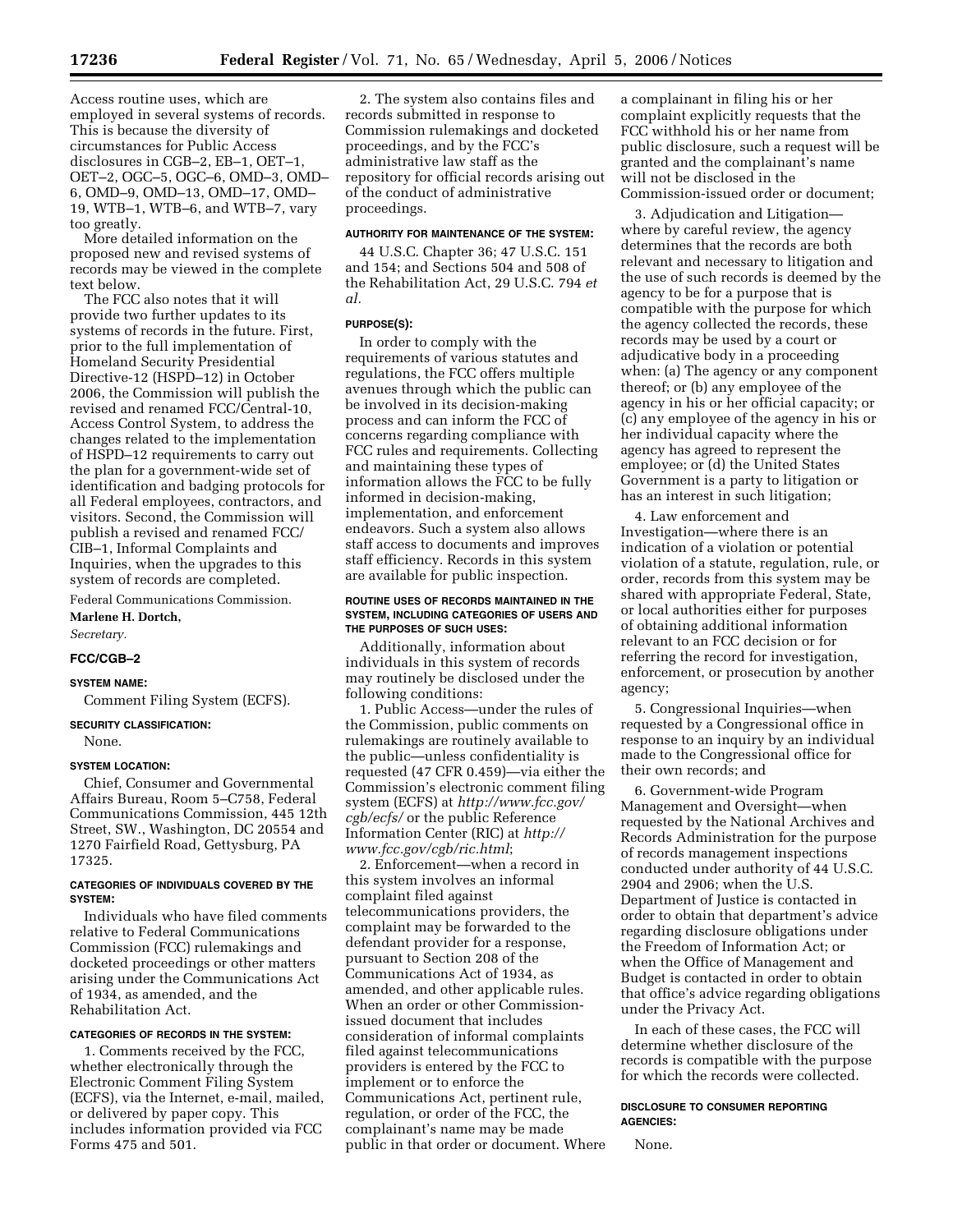Access routine uses, which are employed in several systems of records. This is because the diversity of circumstances for Public Access disclosures in CGB–2, EB–1, OET–1, OET–2, OGC–5, OGC–6, OMD–3, OMD– 6, OMD–9, OMD–13, OMD–17, OMD– 19, WTB–1, WTB–6, and WTB–7, vary too greatly.

More detailed information on the proposed new and revised systems of records may be viewed in the complete text below.

The FCC also notes that it will provide two further updates to its systems of records in the future. First, prior to the full implementation of Homeland Security Presidential Directive-12 (HSPD–12) in October 2006, the Commission will publish the revised and renamed FCC/Central-10, Access Control System, to address the changes related to the implementation of HSPD–12 requirements to carry out the plan for a government-wide set of identification and badging protocols for all Federal employees, contractors, and visitors. Second, the Commission will publish a revised and renamed FCC/ CIB–1, Informal Complaints and Inquiries, when the upgrades to this system of records are completed.

Federal Communications Commission. **Marlene H. Dortch,** 

*Secretary.*  **FCC/CGB–2** 

#### **SYSTEM NAME:**

Comment Filing System (ECFS).

**SECURITY CLASSIFICATION:** 

None.

#### **SYSTEM LOCATION:**

Chief, Consumer and Governmental Affairs Bureau, Room 5–C758, Federal Communications Commission, 445 12th Street, SW., Washington, DC 20554 and 1270 Fairfield Road, Gettysburg, PA 17325.

#### **CATEGORIES OF INDIVIDUALS COVERED BY THE SYSTEM:**

Individuals who have filed comments relative to Federal Communications Commission (FCC) rulemakings and docketed proceedings or other matters arising under the Communications Act of 1934, as amended, and the Rehabilitation Act.

#### **CATEGORIES OF RECORDS IN THE SYSTEM:**

1. Comments received by the FCC, whether electronically through the Electronic Comment Filing System (ECFS), via the Internet, e-mail, mailed, or delivered by paper copy. This includes information provided via FCC Forms 475 and 501.

2. The system also contains files and records submitted in response to Commission rulemakings and docketed proceedings, and by the FCC's administrative law staff as the repository for official records arising out of the conduct of administrative proceedings.

#### **AUTHORITY FOR MAINTENANCE OF THE SYSTEM:**

44 U.S.C. Chapter 36; 47 U.S.C. 151 and 154; and Sections 504 and 508 of the Rehabilitation Act, 29 U.S.C. 794 *et al.* 

# **PURPOSE(S):**

In order to comply with the requirements of various statutes and regulations, the FCC offers multiple avenues through which the public can be involved in its decision-making process and can inform the FCC of concerns regarding compliance with FCC rules and requirements. Collecting and maintaining these types of information allows the FCC to be fully informed in decision-making, implementation, and enforcement endeavors. Such a system also allows staff access to documents and improves staff efficiency. Records in this system are available for public inspection.

#### **ROUTINE USES OF RECORDS MAINTAINED IN THE SYSTEM, INCLUDING CATEGORIES OF USERS AND THE PURPOSES OF SUCH USES:**

Additionally, information about individuals in this system of records may routinely be disclosed under the following conditions:

1. Public Access—under the rules of the Commission, public comments on rulemakings are routinely available to the public—unless confidentiality is requested (47 CFR 0.459)—via either the Commission's electronic comment filing system (ECFS) at *http://www.fcc.gov/ cgb/ecfs/* or the public Reference Information Center (RIC) at *http:// www.fcc.gov/cgb/ric.html*;

2. Enforcement—when a record in this system involves an informal complaint filed against telecommunications providers, the complaint may be forwarded to the defendant provider for a response, pursuant to Section 208 of the Communications Act of 1934, as amended, and other applicable rules. When an order or other Commissionissued document that includes consideration of informal complaints filed against telecommunications providers is entered by the FCC to implement or to enforce the Communications Act, pertinent rule, regulation, or order of the FCC, the complainant's name may be made public in that order or document. Where

a complainant in filing his or her complaint explicitly requests that the FCC withhold his or her name from public disclosure, such a request will be granted and the complainant's name will not be disclosed in the Commission-issued order or document;

3. Adjudication and Litigation where by careful review, the agency determines that the records are both relevant and necessary to litigation and the use of such records is deemed by the agency to be for a purpose that is compatible with the purpose for which the agency collected the records, these records may be used by a court or adjudicative body in a proceeding when: (a) The agency or any component thereof; or (b) any employee of the agency in his or her official capacity; or (c) any employee of the agency in his or her individual capacity where the agency has agreed to represent the employee; or (d) the United States Government is a party to litigation or has an interest in such litigation;

4. Law enforcement and Investigation—where there is an indication of a violation or potential violation of a statute, regulation, rule, or order, records from this system may be shared with appropriate Federal, State, or local authorities either for purposes of obtaining additional information relevant to an FCC decision or for referring the record for investigation, enforcement, or prosecution by another agency;

5. Congressional Inquiries—when requested by a Congressional office in response to an inquiry by an individual made to the Congressional office for their own records; and

6. Government-wide Program Management and Oversight—when requested by the National Archives and Records Administration for the purpose of records management inspections conducted under authority of 44 U.S.C. 2904 and 2906; when the U.S. Department of Justice is contacted in order to obtain that department's advice regarding disclosure obligations under the Freedom of Information Act; or when the Office of Management and Budget is contacted in order to obtain that office's advice regarding obligations under the Privacy Act.

In each of these cases, the FCC will determine whether disclosure of the records is compatible with the purpose for which the records were collected.

# **DISCLOSURE TO CONSUMER REPORTING AGENCIES:**

None.